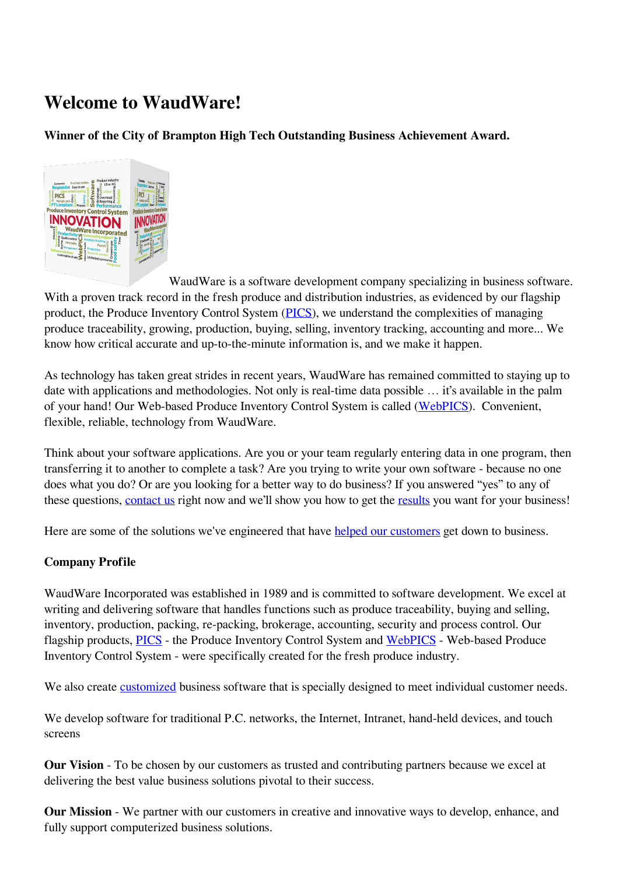## **Welcome to WaudWare!**

## **Winner of the City of Brampton High Tech Outstanding Business Achievement Award.**



WaudWare is a software development company specializing in business software. With a proven track record in the fresh produce and distribution industries, as evidenced by our flagship product, the Produce Inventory Control System ([PICS](https://produceinventory.com/produce-inventory-control-system.html)), we understand the complexities of managing produce traceability, growing, production, buying, selling, inventory tracking, accounting and more... We know how critical accurate and up-to-the-minute information is, and we make it happen.

As technology has taken great strides in recent years, WaudWare has remained committed to staying up to date with applications and methodologies. Not only is real-time data possible … it's available in the palm of your hand! Our Web-based Produce Inventory Control System is called ([WebPICS](https://produceinventory.com/web-pics.html)). Convenient, flexible, reliable, technology from WaudWare.

Think about your software applications. Are you or your team regularly entering data in one program, then transferring it to another to complete a task? Are you trying to write your own software - because no one does what you do? Or are you looking for a better way to do business? If you answered "yes" to any of these questions, [contact us](https://produceinventory.com/contact-us.html) right now and we'll show you how to get the [results](https://produceinventory.com/foxpro-java-custom-programming.html) you want for your business!

Here are some of the solutions we've engineered that have [helped our customers](https://produceinventory.com/case-studies.html) get down to business.

## **Company Profile**

WaudWare Incorporated was established in 1989 and is committed to software development. We excel at writing and delivering software that handles functions such as produce traceability, buying and selling, inventory, production, packing, re-packing, brokerage, accounting, security and process control. Our flagship products, [PICS](https://produceinventory.com/produce-inventory-control-system.html) - the Produce Inventory Control System and [WebPICS](https://produceinventory.com/web-pics.html) - Web-based Produce Inventory Control System - were specifically created for the fresh produce industry.

We also create **[customized](https://produceinventory.com/foxpro-java-custom-programming.html)** business software that is specially designed to meet individual customer needs.

We develop software for traditional P.C. networks, the Internet, Intranet, hand-held devices, and touch screens

**Our Vision** - To be chosen by our customers as trusted and contributing partners because we excel at delivering the best value business solutions pivotal to their success.

**Our Mission** - We partner with our customers in creative and innovative ways to develop, enhance, and fully support computerized business solutions.